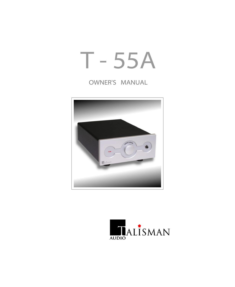# T - 55A

# OWNER'S MANUAL



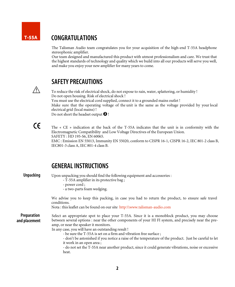#### CONGRATULATIONS T-55A

The Talisman Audio team congratulates you for your acquisition of the high-end T-55A headphone stereophonic amplifier.

Our team designed and manufactured this product with utmost professionalism and care. We trust that the highest standards of technology and quality which we build into all our products will serve you well, and make you enjoy your new amplifier for many years to come.



### SAFETY PRECAUTIONS

To reduce the risk of electrical shock, do not expose to rain, water, splattering, or humidity ! Do not open housing. Risk of electrical shock ! You must use the electrical cord supplied, connect it to a grounded mains outlet ! Make sure that the operating voltage of the unit is the same as the voltage provided by your local electrical grid (local mains) ! Do not short the headset output  $\bigcirc$  !

 $\epsilon$ 

The « CE » indication at the back of the T-55A indicates that the unit is in conformity with the Electromagnetic Compatibility and Low Voltage Directives of the European Union. SAFETY : HD 195-S6, EN 60065.

EMC : Emission EN 55013, Immunity EN 55020, conform to CISPR 16-1, CISPR 16-2, IEC 801-2 class B, IEC801-3 class A, IEC 801-4 class B.

# GENERALINSTRUCTIONS

Unpacking Preparation and placement Select an appropriate spot to place your T-55A. Since it is a monoblock product, you may choose between several options : near the other components of your HI FI system, and precisely near the preamp, or near the speaker it monitors. In any case, you will have an outstanding result ! - be sure the T-55A is set on a firm and vibration free surface ; - don't be astonished if you notice a raise of the temperature of the product. Just be careful to let it work in an open area ; - do not set the T-55A near another product, since it could generate vibrations, noise or excessive heat. Upon unpacking you should find the following equipment and accessories : - T-55A amplifier in its protective bag ; - power cord ; - a two-parts foam wedging. We advise you to keep this packing, in case you had to return the product, to ensure safe travel conditions. Nota : this leaflet can be found on our site http:\\www.talisman-audio.com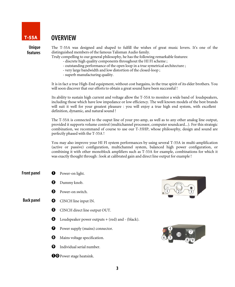

# OVERVIEW

Unique features The T-55A was designed and shaped to fulfill the wishes of great music lovers. It's one of the distinguished members of the famous Talisman Audio family.

Truly compelling to our general philosophy, he has the following remarkable features:

- discrete high quality components throughout the HI FI scheme ;
- outstanding performance of the open loop in a true symetrical architecture ;
- very large bandwidth and low distortion of the closed-loop ;
- superb manufacturing quality.

It is in fact a true High-End equipment, without cost bargains, in the true spirit of its elder brothers. You will soon discover that our efforts to obtain a great sound have been successful !

Its ability to sustain high current and voltage allow the T-55A to monitor a wide band of loudspeakers, including those which have low impedance or low efficiency. The well known models of the best brands will suit it well for your greatest pleasure : you will enjoy a true high end system, with excellent definition, dynamic, and natural sound !

The T-55A is connected to the ouput line of your pre-amp, as well as to any other analog line output, provided it supports volume control (multichannel processor, computer soundcard...). For this strategic combination, we recommand of course to use our T-35HP, whose philosophy, design and sound are perfectly phased with the T-55A !

You may also improve your HI FI system performances by using several T-55A in multi-amplification (active or passive) configuration, multichannel system, balanced high power configuration, or combining it with other monoblock amplifiers such as T-53A for example, combinations for which it was exactly thought through : look at calibrated gain and direct line output for example !



**OO** Power stage heatsink.



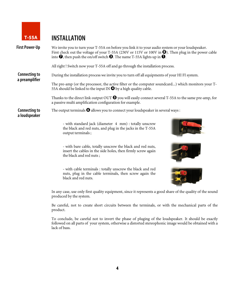

# T-55A INSTALLATION

| <b>First Power-Up</b>                  | We invite you to turn your T-55A on before you link it to your audio system or your loudspeaker.<br>First check out the voltage of your T-55A (230V or 115V or 100V in $\bullet$ ). Then plug in the power cable<br>into $\bullet$ , then push the on/off switch $\bullet$ . The name T-55A lights up in $\bullet$ . |  |  |
|----------------------------------------|----------------------------------------------------------------------------------------------------------------------------------------------------------------------------------------------------------------------------------------------------------------------------------------------------------------------|--|--|
|                                        | All right! Switch now your T-55A off and go through the installation process.                                                                                                                                                                                                                                        |  |  |
| <b>Connecting to</b><br>a preamplifier | During the installation process we invite you to turn off all equipments of your HI FI system.                                                                                                                                                                                                                       |  |  |
|                                        | The pre-amp (or the processor, the active filter or the computer soundcard) which monitors your T-<br>55A should be linked to the input IN $\bullet$ by a high quality cable.                                                                                                                                        |  |  |
|                                        | Thanks to the direct link output OUT $\Theta$ you will easily connect several T-55A to the same pre-amp, for<br>a passive multi amplification configuration for example.                                                                                                                                             |  |  |
| <b>Connecting to</b><br>a loudspeaker  | The output terminals $\bullet$ allows you to connect your loudspeaker in several ways:                                                                                                                                                                                                                               |  |  |
|                                        | - with standard jack (diameter 4 mm) : totally unscrew<br>the black and red nuts, and plug in the jacks in the T-55A<br>output terminals;                                                                                                                                                                            |  |  |
|                                        | - with bare cable, totally unscrew the black and red nuts,<br>insert the cables in the side holes, then firmly screw again<br>the black and red nuts;                                                                                                                                                                |  |  |
|                                        | - with cable terminals : totally unscrew the black and red<br>nuts, plug in the cable terminals, then screw again the<br>black and red nuts.                                                                                                                                                                         |  |  |
|                                        | In any case, use only first quality equipment, since it represents a good share of the quality of the sound<br>produced by the system.                                                                                                                                                                               |  |  |
|                                        | Be careful, not to create short circuits between the terminals, or with the mechanical parts of the<br>product.                                                                                                                                                                                                      |  |  |

To conclude, be careful not to invert the phase of pluging of the loudspeaker. It should be exactly followed on all parts of your system, otherwise a distorted stereophonic image would be obtained with a lack of bass.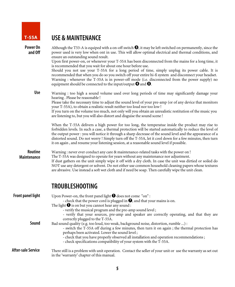

# T-55A USE & MAINTENANCE

| Power On<br>and Off           | Although the T53-A is equiped with a on-off switch $\Theta$ , it may be left switched on permanently, since the<br>power used is very low when ont in use. This will allow optimal electrical and thermal conditions, and<br>ensure an outstanding sound result.                                                                                                                                                                                                                                                                     |
|-------------------------------|--------------------------------------------------------------------------------------------------------------------------------------------------------------------------------------------------------------------------------------------------------------------------------------------------------------------------------------------------------------------------------------------------------------------------------------------------------------------------------------------------------------------------------------|
|                               | Upon first power-on, or whenever your T-55A has been disconnected from the mains for a long time, it                                                                                                                                                                                                                                                                                                                                                                                                                                 |
|                               | is recommended that you wait for about one hour before use.<br>Should you not use your T-55A for a long period of time, simply unplug its power cable. It is<br>recommended that when you do so you switch off your entire hi-fi system and disconnect your headset.<br>Warning : whenever the T-55A is in power-off mode (i.e. disconnected from the power supply) no<br>equipment should be connected to the input/output $\bullet$ and $\bullet$ .                                                                                |
| <b>Use</b>                    | Warning : too high a sound volume used over long periods of time may significantly damage your<br>hearing. Please be reasonable!<br>Please take the necessary time to adjust the sound level of your pre-amp (or of any device that monitors<br>your T-55A), to obtain a realistic result neither too loud nor too low!<br>If you turn on the volume too much, not only will you obtain an unrealistic restitution of the music you<br>are listening to, but you will also distort and disguise the sound scene !                    |
|                               | When the T-55A delivers a high power for too long, the temperatue inside the product may rise to<br>forbidden levels. In such a case, a thermal protection will be started automatically to reduce the level of<br>the output power : you will notice it through a sharp decrease of the sound level and the appearance of a<br>distorted sound. Do not worry ! Simply turn off the T-55A, let it cool down for a few minutes, then turn<br>it on again, and resume your listening session, at a reasonable sound level if possible. |
| Routine<br><b>Maintenance</b> | Warning : never ever conduct any care & maintenance-related tasks with the power on !<br>The T-55A was designed to operate for years without any maintenance nor adjustment.<br>If dust gathers on the unit simply wipe it off with a dry cloth. In case the unit was dirtied or soiled do<br>NOT use any detergent or solvent. Do not either use common household cleaning papers whose textures<br>are abrasive. Use instead a soft wet cloth and if need be soap. Then carefully wipe the unit clean.                             |
|                               | <b>TROUBLESHOOTING</b>                                                                                                                                                                                                                                                                                                                                                                                                                                                                                                               |
| <b>Front panel light</b>      | Upon Power-on, the front panel light $\bigcirc$ does not come "on":<br>- check that the power cord is plugged in $\bullet$ , and that your mains is on.<br>The light $\bigcirc$ is on but you cannot hear any sound :<br>- verify the musical program and the pre-amp sound level;<br>- verify that your sources, pre-amp and speaker are correctly operating, and that they are                                                                                                                                                     |
| Sound                         | correctly plugged to the T-55A.<br>Bad sound quality (e.g. too loud, too weak, background noise, distortion, rumble ) :<br>- switch the T-55A off during a few minutes, then turn it on again; the thermal protection has<br>perhaps been activated. Lower the sound level;<br>- check that you have properly observed all installation and operation recommendations;<br>- check specifications compatibility of your system with the T-55A.                                                                                        |
| <b>After-sale Service</b>     | There still is a problem with unit operation. Contact the seller of your unit or use the warranty as set out<br>in the 'warranty' chapter of this manual.                                                                                                                                                                                                                                                                                                                                                                            |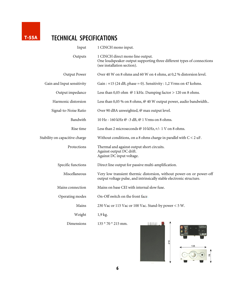

# T-55A TECHNICAL SPECIFICATIONS

| Input                          | 1 CINCH mono input.                                                                                                                          |
|--------------------------------|----------------------------------------------------------------------------------------------------------------------------------------------|
| Outputs                        | 1 CINCH direct mono line output.<br>One loudspeaker output supporting three different types of connections<br>(see installation section).    |
| Output Power                   | Over 40 W on 8 ohms and 60 W on 4 ohms, at 0,2 % distorsion level.                                                                           |
| Gain and Input sensitivity     | Gain : $+15$ (24 dB, phase = 0). Sensitivity : 1,2 Vrms on 47 kohms.                                                                         |
| Output impedance               | Less than 0,05 ohm $@1$ kHz. Dumping factor $> 120$ on 8 ohms.                                                                               |
| Harmonic distorsion            | Less than 0,05 % on 8 ohms, @ 40 W output power, audio bandwidth                                                                             |
| Signal-to-Noise Ratio          | Over 90 dBA unweighted, @ max output level.                                                                                                  |
| Bandwith                       | 10 Hz - 160 kHz @ -3 dB, @ 1 Vrms on 8 ohms.                                                                                                 |
| Rise time                      | Less than 2 microseconds @ 10 kHz, +/- 1 V on 8 ohms.                                                                                        |
| Stability on capacitive charge | Without conditions, on a 8 ohms charge in parallel with $C < 2$ uF.                                                                          |
| Protections                    | Thermal and against output short circuits.<br>Against output DC drift.<br>Against DC input voltage.                                          |
| Specific functions             | Direct line output for passive multi-amplification.                                                                                          |
| Miscellaneous                  | Very low transient thermic distorsion, without power-on or power-off<br>output voltage pulse, and intrinsically stable electronic structure. |
| Mains connection               | Mains on base CEI with internal slow fuse.                                                                                                   |
| Operating modes                | On-Off switch on the front face.                                                                                                             |
| Mains                          | 230 Vac or 115 Vac or 100 Vac. Stand-by power < 5 W.                                                                                         |
| Weight                         | 1,9 kg.                                                                                                                                      |
| Dimensions                     | ШШ.<br>$135 * 70 * 215$ mm.                                                                                                                  |

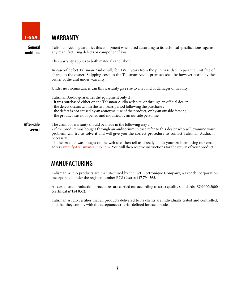

### T-55A WARRANTY

General conditions Talisman Audio guaranties this equipment when used according to its technical specifications, against any manufacturing defects or component flaws.

This warranty applies to both materials and labor.

In case of defect Talisman Audio will, for TWO years from the purchase date, repair the unit free of charge to the owner. Shipping costs to the Talisman Audio premises shall be however borne by the owner of the unit under warranty.

Under no circumstances can this warranty give rise to any kind of damages or liability.

Talisman Audio guaranties the equipment only if :

- it was purchased either on the Talisman Audio web site, or through an official dealer ;
- the defect occurs within the two years period following the purchase ;
- the defect is not caused by an abnormal use of the product, or by an outside factor ;
- the product was not opened and modified by an outside personne.

#### The claim for warranty should be made in the following way : After-sale service

- if the product was bought through an auditorium, please refer to this dealer who will examine your problem, will try to solve it and will give you the correct procedure to contact Talisman Audio, if necessary ;

- if the product was bought on the web site, then tell us directly about your problem using our email adress amplify@talisman-audio.com. You will then receive instructions for the return of your product.

# MANUFACTURING

Talisman Audio products are manufactured by the Get Electronique Company, a French corporation incorporated under the register number RCS Castres 447 794 363.

All design and production procedures are carried out according to strict quality standards ISO9000:2000 (certificat n°124 832).

Talisman Audio certifies that all products delivered to its clients are individually tested and controlled, and that they comply with the acceptance criterias defined for each model.